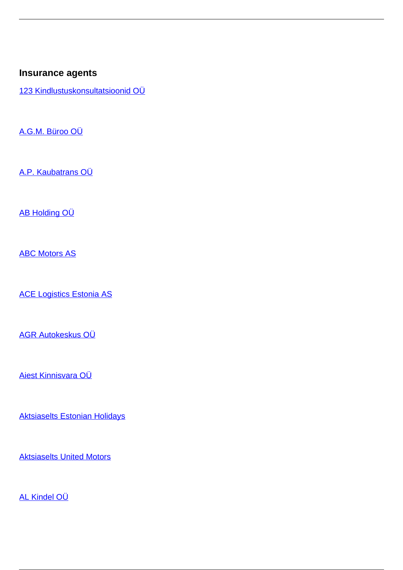## **Insurance agents**

[123 Kindlustuskonsultatsioonid OÜ](/en/node/38146)

[A.G.M. Büroo OÜ](/en/node/37837)

[A.P. Kaubatrans OÜ](/en/node/37977)

[AB Holding OÜ](/en/node/38160)

[ABC Motors AS](/en/node/37943)

[ACE Logistics Estonia AS](/en/node/38098)

[AGR Autokeskus OÜ](/en/node/38043)

[Aiest Kinnisvara OÜ](/en/node/38162)

[Aktsiaselts Estonian Holidays](/en/node/37806)

**[Aktsiaselts United Motors](/en/insurance-0/insurance/insurance-intermediaries/insurance-agents/aktsiaselts-united-motors)** 

[AL Kindel OÜ](/en/node/37814)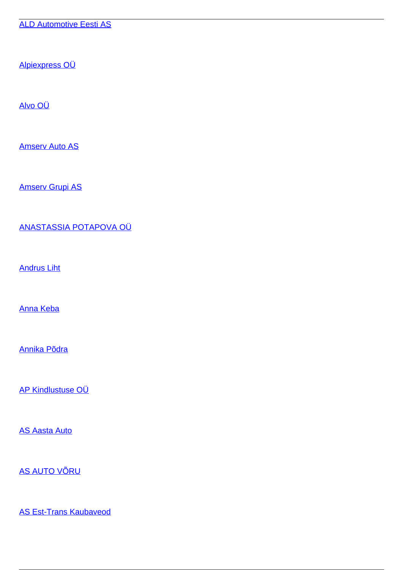[ALD Automotive Eesti AS](/en/node/37974)

[Alpiexpress OÜ](/en/node/38136)

[Alvo OÜ](/en/node/38127)

[Amserv Auto AS](/en/node/37833)

[Amserv Grupi AS](/en/node/38088)

[ANASTASSIA POTAPOVA OÜ](/en/node/37981)

[Andrus Liht](/en/node/37804)

[Anna Keba](/en/node/37953)

[Annika Põdra](/en/node/37822)

[AP Kindlustuse OÜ](/en/node/38110)

[AS Aasta Auto](/en/node/37967)

[AS AUTO VÕRU](/en/node/37910)

[AS Est-Trans Kaubaveod](/en/node/38097)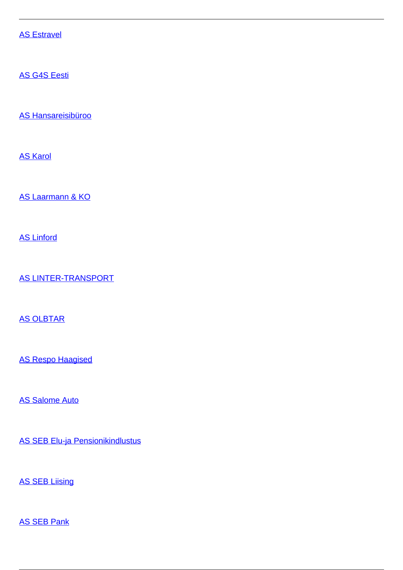[AS Estravel](/en/node/38116)

[AS G4S Eesti](/en/node/38000)

[AS Hansareisibüroo](/en/node/38015)

[AS Karol](/en/node/37872)

[AS Laarmann & KO](/en/node/38141)

[AS Linford](/en/node/38122)

[AS LINTER-TRANSPORT](/en/node/38148)

[AS OLBTAR](/en/node/37881)

[AS Respo Haagised](/en/node/38031)

[AS Salome Auto](/en/node/38124)

[AS SEB Elu-ja Pensionikindlustus](/en/node/37930)

**[AS SEB Liising](/en/node/37986)** 

[AS SEB Pank](/en/node/37807)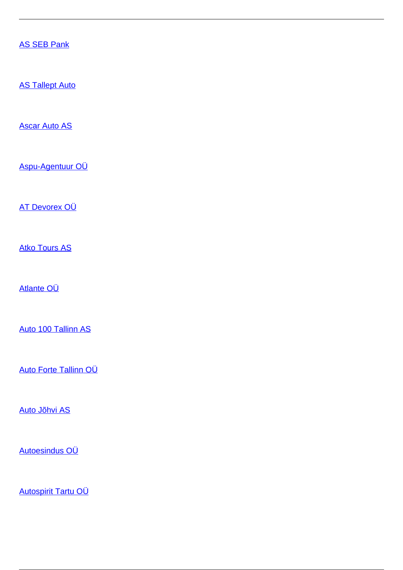[AS SEB Pank](/en/node/38018)

**[AS Tallept Auto](/en/node/38143)** 

[Ascar Auto AS](/en/node/38187)

[Aspu-Agentuur OÜ](/en/node/37892)

[AT Devorex OÜ](/en/node/38046)

[Atko Tours AS](/en/node/37831)

[Atlante OÜ](/en/node/37900)

[Auto 100 Tallinn AS](/en/node/38061)

[Auto Forte Tallinn OÜ](/en/insurance-0/insurance/insurance-intermediaries/insurance-agents/auto-forte-tallinn-ou)

[Auto Jõhvi AS](/en/node/37842)

[Autoesindus OÜ](/en/node/38080)

[Autospirit Tartu OÜ](/en/node/38068)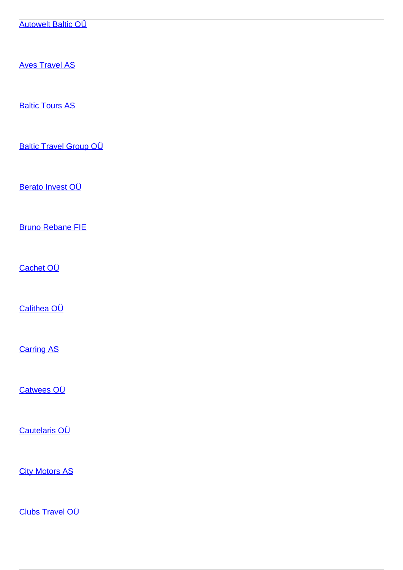[Autowelt Baltic OÜ](/en/node/38023)

[Aves Travel AS](/en/node/38039)

**[Baltic Tours AS](/en/node/37880)** 

[Baltic Travel Group OÜ](/en/node/37920)

[Berato Invest OÜ](/en/node/38042)

[Bruno Rebane FIE](/en/node/38084)

[Cachet OÜ](/en/insurance-0/insurance/insurance-intermediaries/insurance-agents/cachet-ou)

[Calithea OÜ](/en/node/37867)

**[Carring AS](/en/node/37927)** 

[Catwees OÜ](/en/node/37911)

[Cautelaris OÜ](/en/node/38008)

**[City Motors AS](/en/node/37926)** 

[Clubs Travel OÜ](/en/node/38118)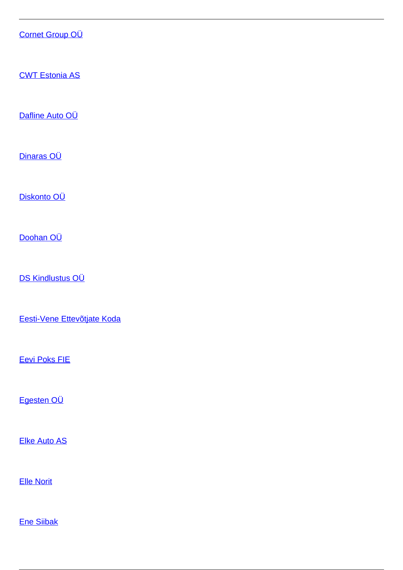## [Cornet Group OÜ](/en/node/38057)

[CWT Estonia AS](/en/node/38025)

[Dafline Auto OÜ](/en/node/37902)

[Dinaras OÜ](/en/node/38113)

[Diskonto OÜ](/en/node/38069)

[Doohan OÜ](/en/node/38004)

[DS Kindlustus OÜ](/en/insurance-0/insurance/insurance-intermediaries/insurance-agents/ds-kindlustus-ou)

[Eesti-Vene Ettevõtjate Koda](/en/node/38179)

[Eevi Poks FIE](/en/node/38062)

[Egesten OÜ](/en/node/38131)

[Elke Auto AS](/en/node/37945)

[Elle Norit](/en/node/37956)

[Ene Siibak](/en/node/38190)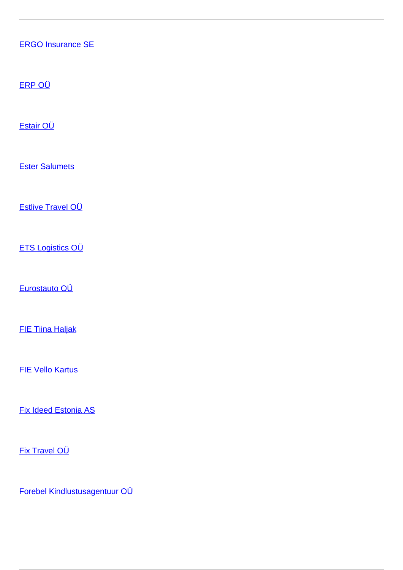[ERGO Insurance SE](/en/node/38151)

[ERP OÜ](/en/node/38073)

[Estair OÜ](/en/node/37800)

[Ester Salumets](/en/node/37969)

[Estlive Travel OÜ](/en/node/38158)

[ETS Logistics OÜ](/en/node/38134)

[Eurostauto OÜ](/en/node/37915)

[FIE Tiina Haljak](/en/node/38155)

[FIE Vello Kartus](/en/node/38037)

[Fix Ideed Estonia AS](/en/node/37919)

[Fix Travel OÜ](/en/node/37868)

[Forebel Kindlustusagentuur OÜ](/en/node/37901)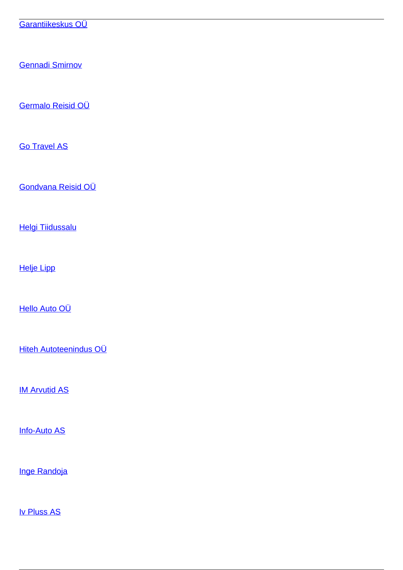[Garantiikeskus OÜ](/en/insurance-0/insurance/insurance-intermediaries/insurance-agents/garantiikeskus-ou)

[Gennadi Smirnov](/en/node/37865)

[Germalo Reisid OÜ](/en/node/37879)

[Go Travel AS](/en/node/37797)

[Gondvana Reisid OÜ](/en/node/38074)

[Helgi Tiidussalu](/en/node/37846)

[Helje Lipp](/en/node/38086)

[Hello Auto OÜ](/en/node/37994)

[Hiteh Autoteenindus OÜ](/en/node/38178)

**[IM Arvutid AS](/en/node/37816)** 

[Info-Auto AS](/en/node/37912)

[Inge Randoja](/en/node/37924)

[Iv Pluss AS](/en/node/37983)